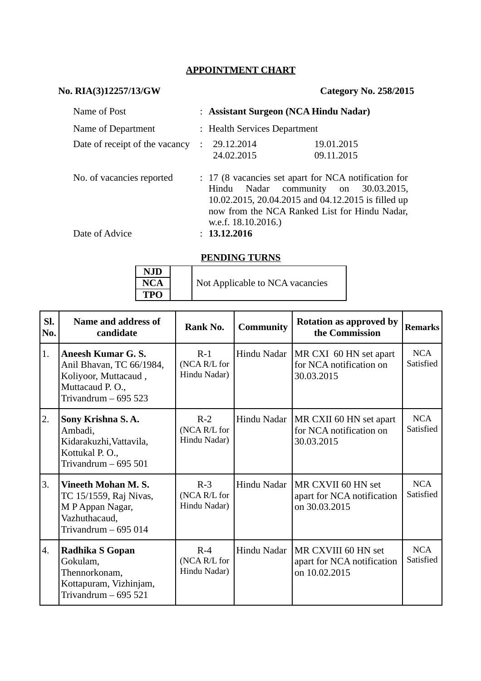## **APPOINTMENT CHART**

# **No. RIA(3)12257/13/GW Category No. 258/2015**

| Name of Post                   | : Assistant Surgeon (NCA Hindu Nadar)         |                                                                                                                                                                                               |  |  |  |  |
|--------------------------------|-----------------------------------------------|-----------------------------------------------------------------------------------------------------------------------------------------------------------------------------------------------|--|--|--|--|
| Name of Department             |                                               | : Health Services Department                                                                                                                                                                  |  |  |  |  |
| Date of receipt of the vacancy | 29.12.2014<br>$\sim$ 100 $\sim$<br>24.02.2015 | 19.01.2015<br>09.11.2015                                                                                                                                                                      |  |  |  |  |
| No. of vacancies reported      | Hindu                                         | : 17 (8 vacancies set apart for NCA notification for<br>Nadar community on 30.03.2015,<br>10.02.2015, 20.04.2015 and 04.12.2015 is filled up<br>now from the NCA Ranked List for Hindu Nadar, |  |  |  |  |

Date of Advice : **13.12.2016**

w.e.f. 18.10.2016.)

### **PENDING TURNS**

| <b>NJD</b> |  |                                 |
|------------|--|---------------------------------|
| <b>NCA</b> |  | Not Applicable to NCA vacancies |
| <b>TPO</b> |  |                                 |

| SI.<br>No. | Name and address of<br>candidate                                                                                  | Rank No.                              | <b>Community</b> | <b>Rotation as approved by</b><br>the Commission                   | <b>Remarks</b>          |
|------------|-------------------------------------------------------------------------------------------------------------------|---------------------------------------|------------------|--------------------------------------------------------------------|-------------------------|
| 1.         | Aneesh Kumar G. S.<br>Anil Bhavan, TC 66/1984,<br>Koliyoor, Muttacaud,<br>Muttacaud P.O.,<br>Trivandrum $-695523$ | $R-1$<br>(NCA R/L for<br>Hindu Nadar) | Hindu Nadar      | MR CXI 60 HN set apart<br>for NCA notification on<br>30.03.2015    | <b>NCA</b><br>Satisfied |
| 2.         | Sony Krishna S.A.<br>Ambadi,<br>Kidarakuzhi, Vattavila,<br>Kottukal P.O.,<br>Trivandrum $-695501$                 | $R-2$<br>(NCA R/L for<br>Hindu Nadar) | Hindu Nadar      | MR CXII 60 HN set apart<br>for NCA notification on<br>30.03.2015   | <b>NCA</b><br>Satisfied |
| 3.         | <b>Vineeth Mohan M.S.</b><br>TC 15/1559, Raj Nivas,<br>M P Appan Nagar,<br>Vazhuthacaud,<br>Trivandrum $-695014$  | $R-3$<br>(NCA R/L for<br>Hindu Nadar) | Hindu Nadar      | MR CXVII 60 HN set<br>apart for NCA notification<br>on 30.03.2015  | <b>NCA</b><br>Satisfied |
| 4.         | Radhika S Gopan<br>Gokulam,<br>Thennorkonam,<br>Kottapuram, Vizhinjam,<br>Trivandrum $-695521$                    | $R-4$<br>(NCA R/L for<br>Hindu Nadar) | Hindu Nadar      | MR CXVIII 60 HN set<br>apart for NCA notification<br>on 10.02.2015 | <b>NCA</b><br>Satisfied |